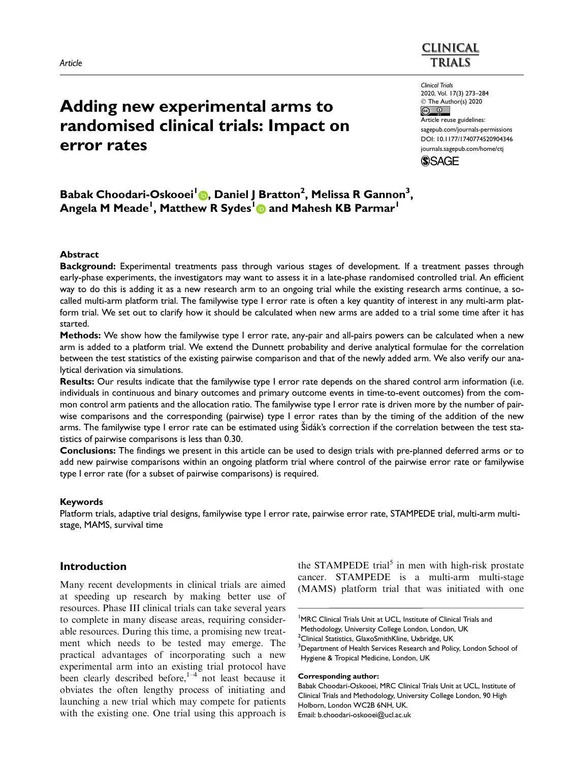# Adding new experimental arms to randomised clinical trials: Impact on error rates

# **CLINICAL TRIALS**

Clinical Trials 2020, Vol. 17(3) 273–284 © The Author(s) 2020

Article reuse guidelines: [sagepub.com/journals-permissions](https://uk.sagepub.com/en-gb/journals-permissions) [DOI: 10.1177/1740774520904346](https://doi.org/10.1177/1740774520904346) <journals.sagepub.com/home/ctj>



# Babak Choodari-Oskooei<sup>l</sup> (D, Daniel J Bratton<sup>2</sup>, Melissa R Gannon<sup>3</sup>, Angela M Meade<sup>l</sup>, Matthew R Sydes<sup>1</sup> @ and Mahesh KB Parmar<sup>l</sup>

#### Abstract

Background: Experimental treatments pass through various stages of development. If a treatment passes through early-phase experiments, the investigators may want to assess it in a late-phase randomised controlled trial. An efficient way to do this is adding it as a new research arm to an ongoing trial while the existing research arms continue, a socalled multi-arm platform trial. The familywise type I error rate is often a key quantity of interest in any multi-arm platform trial. We set out to clarify how it should be calculated when new arms are added to a trial some time after it has started.

Methods: We show how the familywise type I error rate, any-pair and all-pairs powers can be calculated when a new arm is added to a platform trial. We extend the Dunnett probability and derive analytical formulae for the correlation between the test statistics of the existing pairwise comparison and that of the newly added arm. We also verify our analytical derivation via simulations.

Results: Our results indicate that the familywise type I error rate depends on the shared control arm information (i.e. individuals in continuous and binary outcomes and primary outcome events in time-to-event outcomes) from the common control arm patients and the allocation ratio. The familywise type I error rate is driven more by the number of pairwise comparisons and the corresponding (pairwise) type I error rates than by the timing of the addition of the new arms. The familywise type I error rate can be estimated using Sidák's correction if the correlation between the test statistics of pairwise comparisons is less than 0.30.

Conclusions: The findings we present in this article can be used to design trials with pre-planned deferred arms or to add new pairwise comparisons within an ongoing platform trial where control of the pairwise error rate or familywise type I error rate (for a subset of pairwise comparisons) is required.

#### Keywords

Platform trials, adaptive trial designs, familywise type I error rate, pairwise error rate, STAMPEDE trial, multi-arm multistage, MAMS, survival time

### Introduction

Many recent developments in clinical trials are aimed at speeding up research by making better use of resources. Phase III clinical trials can take several years to complete in many disease areas, requiring considerable resources. During this time, a promising new treatment which needs to be tested may emerge. The practical advantages of incorporating such a new experimental arm into an existing trial protocol have been clearly described before, $1-4$  not least because it obviates the often lengthy process of initiating and launching a new trial which may compete for patients with the existing one. One trial using this approach is

the STAMPEDE trial<sup>5</sup> in men with high-risk prostate cancer. STAMPEDE is a multi-arm multi-stage (MAMS) platform trial that was initiated with one

<sup>1</sup> MRC Clinical Trials Unit at UCL, Institute of Clinical Trials and Methodology, University College London, London, UK

<sup>2</sup>Clinical Statistics, GlaxoSmithKline, Uxbridge, UK

<sup>3</sup>Department of Health Services Research and Policy, London School of Hygiene & Tropical Medicine, London, UK

#### Corresponding author:

Babak Choodari-Oskooei, MRC Clinical Trials Unit at UCL, Institute of Clinical Trials and Methodology, University College London, 90 High Holborn, London WC2B 6NH, UK. Email: b.choodari-oskooei@ucl.ac.uk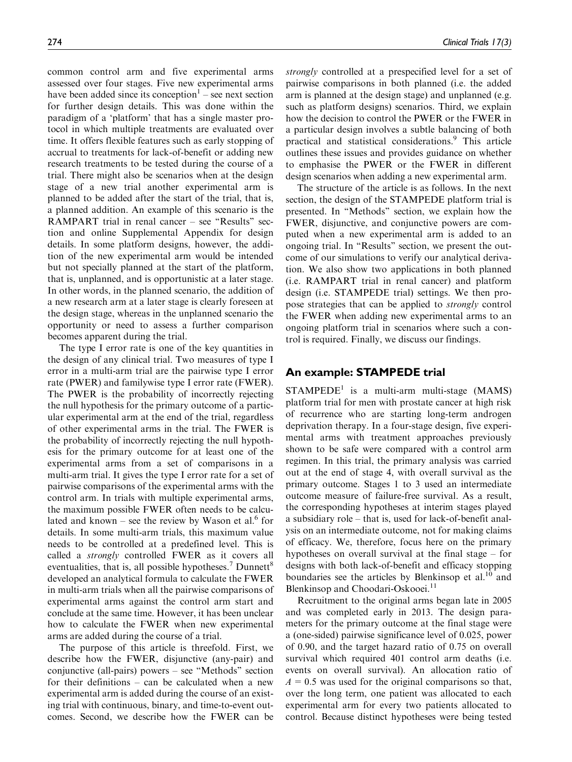common control arm and five experimental arms assessed over four stages. Five new experimental arms have been added since its conception $<sup>1</sup>$  – see next section</sup> for further design details. This was done within the paradigm of a 'platform' that has a single master protocol in which multiple treatments are evaluated over time. It offers flexible features such as early stopping of accrual to treatments for lack-of-benefit or adding new research treatments to be tested during the course of a trial. There might also be scenarios when at the design stage of a new trial another experimental arm is planned to be added after the start of the trial, that is, a planned addition. An example of this scenario is the RAMPART trial in renal cancer – see "Results" section and online Supplemental Appendix for design details. In some platform designs, however, the addition of the new experimental arm would be intended but not specially planned at the start of the platform, that is, unplanned, and is opportunistic at a later stage. In other words, in the planned scenario, the addition of a new research arm at a later stage is clearly foreseen at the design stage, whereas in the unplanned scenario the opportunity or need to assess a further comparison

becomes apparent during the trial. The type I error rate is one of the key quantities in the design of any clinical trial. Two measures of type I error in a multi-arm trial are the pairwise type I error rate (PWER) and familywise type I error rate (FWER). The PWER is the probability of incorrectly rejecting the null hypothesis for the primary outcome of a particular experimental arm at the end of the trial, regardless of other experimental arms in the trial. The FWER is the probability of incorrectly rejecting the null hypothesis for the primary outcome for at least one of the experimental arms from a set of comparisons in a multi-arm trial. It gives the type I error rate for a set of pairwise comparisons of the experimental arms with the control arm. In trials with multiple experimental arms, the maximum possible FWER often needs to be calculated and known – see the review by Wason et al. $6$  for details. In some multi-arm trials, this maximum value needs to be controlled at a predefined level. This is called a strongly controlled FWER as it covers all eventualities, that is, all possible hypotheses.<sup>7</sup> Dunnett<sup>8</sup> developed an analytical formula to calculate the FWER in multi-arm trials when all the pairwise comparisons of experimental arms against the control arm start and conclude at the same time. However, it has been unclear how to calculate the FWER when new experimental arms are added during the course of a trial.

The purpose of this article is threefold. First, we describe how the FWER, disjunctive (any-pair) and conjunctive (all-pairs) powers – see ''Methods'' section for their definitions – can be calculated when a new experimental arm is added during the course of an existing trial with continuous, binary, and time-to-event outcomes. Second, we describe how the FWER can be strongly controlled at a prespecified level for a set of pairwise comparisons in both planned (i.e. the added arm is planned at the design stage) and unplanned (e.g. such as platform designs) scenarios. Third, we explain how the decision to control the PWER or the FWER in a particular design involves a subtle balancing of both practical and statistical considerations.<sup>9</sup> This article outlines these issues and provides guidance on whether to emphasise the PWER or the FWER in different design scenarios when adding a new experimental arm.

The structure of the article is as follows. In the next section, the design of the STAMPEDE platform trial is presented. In ''Methods'' section, we explain how the FWER, disjunctive, and conjunctive powers are computed when a new experimental arm is added to an ongoing trial. In ''Results'' section, we present the outcome of our simulations to verify our analytical derivation. We also show two applications in both planned (i.e. RAMPART trial in renal cancer) and platform design (i.e. STAMPEDE trial) settings. We then propose strategies that can be applied to strongly control the FWER when adding new experimental arms to an ongoing platform trial in scenarios where such a control is required. Finally, we discuss our findings.

#### An example: STAMPEDE trial

 $STAMPEDE<sup>1</sup>$  is a multi-arm multi-stage (MAMS) platform trial for men with prostate cancer at high risk of recurrence who are starting long-term androgen deprivation therapy. In a four-stage design, five experimental arms with treatment approaches previously shown to be safe were compared with a control arm regimen. In this trial, the primary analysis was carried out at the end of stage 4, with overall survival as the primary outcome. Stages 1 to 3 used an intermediate outcome measure of failure-free survival. As a result, the corresponding hypotheses at interim stages played a subsidiary role – that is, used for lack-of-benefit analysis on an intermediate outcome, not for making claims of efficacy. We, therefore, focus here on the primary hypotheses on overall survival at the final stage – for designs with both lack-of-benefit and efficacy stopping boundaries see the articles by Blenkinsop et al.<sup>10</sup> and Blenkinsop and Choodari-Oskooei.<sup>11</sup>

Recruitment to the original arms began late in 2005 and was completed early in 2013. The design parameters for the primary outcome at the final stage were a (one-sided) pairwise significance level of 0.025, power of 0.90, and the target hazard ratio of 0.75 on overall survival which required 401 control arm deaths (i.e. events on overall survival). An allocation ratio of  $A = 0.5$  was used for the original comparisons so that, over the long term, one patient was allocated to each experimental arm for every two patients allocated to control. Because distinct hypotheses were being tested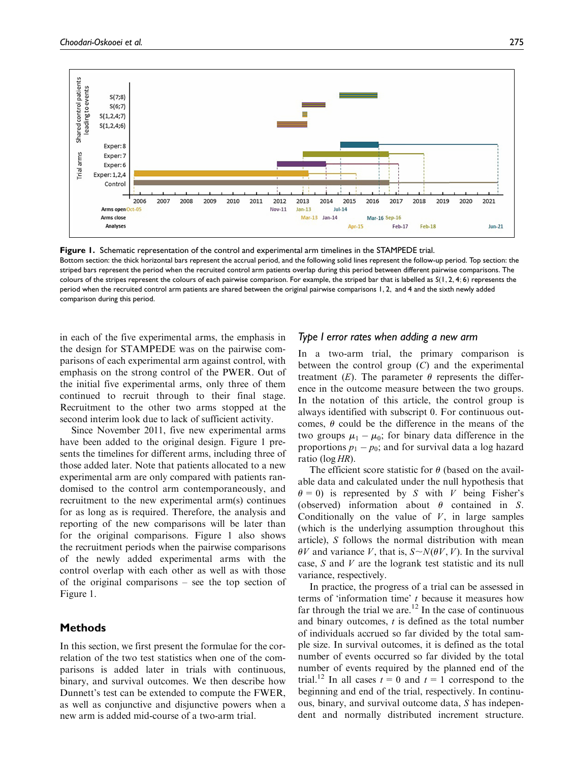

Figure 1. Schematic representation of the control and experimental arm timelines in the STAMPEDE trial. Bottom section: the thick horizontal bars represent the accrual period, and the following solid lines represent the follow-up period. Top section: the striped bars represent the period when the recruited control arm patients overlap during this period between different pairwise comparisons. The colours of the stripes represent the colours of each pairwise comparison. For example, the striped bar that is labelled as  $S(1, 2, 4; 6)$  represents the period when the recruited control arm patients are shared between the original pairwise comparisons 1, 2, and 4 and the sixth newly added comparison during this period.

in each of the five experimental arms, the emphasis in the design for STAMPEDE was on the pairwise comparisons of each experimental arm against control, with emphasis on the strong control of the PWER. Out of the initial five experimental arms, only three of them continued to recruit through to their final stage. Recruitment to the other two arms stopped at the second interim look due to lack of sufficient activity.

Since November 2011, five new experimental arms have been added to the original design. Figure 1 presents the timelines for different arms, including three of those added later. Note that patients allocated to a new experimental arm are only compared with patients randomised to the control arm contemporaneously, and recruitment to the new experimental arm(s) continues for as long as is required. Therefore, the analysis and reporting of the new comparisons will be later than for the original comparisons. Figure 1 also shows the recruitment periods when the pairwise comparisons of the newly added experimental arms with the control overlap with each other as well as with those of the original comparisons – see the top section of Figure 1.

### Methods

In this section, we first present the formulae for the correlation of the two test statistics when one of the comparisons is added later in trials with continuous, binary, and survival outcomes. We then describe how Dunnett's test can be extended to compute the FWER, as well as conjunctive and disjunctive powers when a new arm is added mid-course of a two-arm trial.

#### Type I error rates when adding a new arm

In a two-arm trial, the primary comparison is between the control group  $(C)$  and the experimental treatment (E). The parameter  $\theta$  represents the difference in the outcome measure between the two groups. In the notation of this article, the control group is always identified with subscript 0. For continuous outcomes,  $\theta$  could be the difference in the means of the two groups  $\mu_1 - \mu_0$ ; for binary data difference in the proportions  $p_1 - p_0$ ; and for survival data a log hazard ratio (log HR).

The efficient score statistic for  $\theta$  (based on the available data and calculated under the null hypothesis that  $\theta = 0$ ) is represented by S with V being Fisher's (observed) information about  $\theta$  contained in S. Conditionally on the value of  $V$ , in large samples (which is the underlying assumption throughout this article), S follows the normal distribution with mean  $\theta V$  and variance V, that is,  $S \sim N(\theta V, V)$ . In the survival case, S and V are the logrank test statistic and its null variance, respectively.

In practice, the progress of a trial can be assessed in terms of 'information time' t because it measures how far through the trial we are. $12$  In the case of continuous and binary outcomes,  $t$  is defined as the total number of individuals accrued so far divided by the total sample size. In survival outcomes, it is defined as the total number of events occurred so far divided by the total number of events required by the planned end of the trial.<sup>12</sup> In all cases  $t = 0$  and  $t = 1$  correspond to the beginning and end of the trial, respectively. In continuous, binary, and survival outcome data, S has independent and normally distributed increment structure.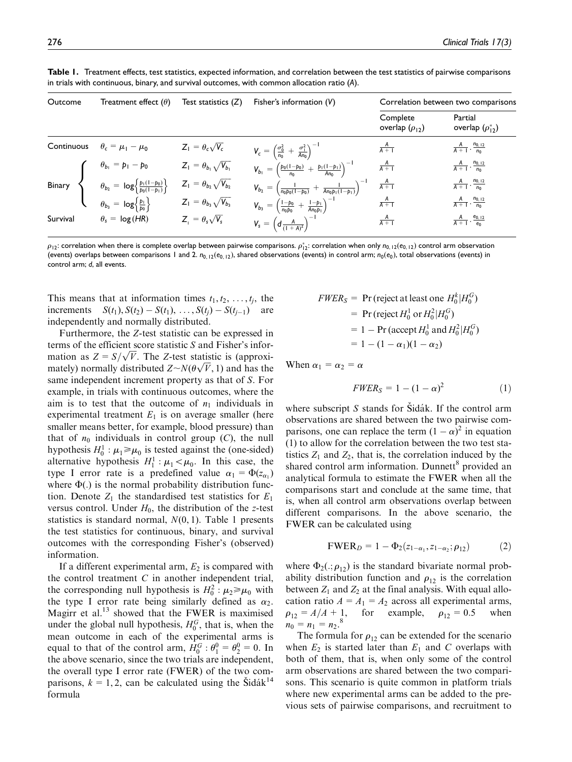| Outcome    | Treatment effect $(\theta)$                                                                                                                                            | Test statistics $(Z)$               | Fisher's information $(V)$                                                                     | Correlation between two comparisons |                                            |  |
|------------|------------------------------------------------------------------------------------------------------------------------------------------------------------------------|-------------------------------------|------------------------------------------------------------------------------------------------|-------------------------------------|--------------------------------------------|--|
|            |                                                                                                                                                                        |                                     |                                                                                                | Complete<br>overlap $(\rho_{12})$   | Partial<br>overlap $(\rho_{12}^*)$         |  |
| Continuous | $\theta_c = \mu_1 - \mu_0$                                                                                                                                             | $Z_1 = \theta_c \sqrt{V_c}$         | $V_c = \left(\frac{\sigma_0^2}{n_0} + \frac{\sigma_1^2}{An_0}\right)^{-1}$ $\frac{A}{A+1}$     |                                     | $\frac{A}{A+1}$ . $\frac{n_{0,12}}{n_0}$   |  |
|            | Binary<br>$\theta_{b_1} = p_1 - p_0$<br>$\theta_{b_2} = \log \left\{ \frac{p_1(1-p_0)}{p_0(1-p_1)} \right\}$<br>$\theta_{b_3} = \log \left\{ \frac{p_1}{p_0} \right\}$ | $Z_1 = \theta_{b_1} \sqrt{V_{b_1}}$ | $V_{b_1} = \left(\frac{p_0(1-p_0)}{n_0} + \frac{p_1(1-p_1)}{An_0}\right)^{-1}$ $\frac{A}{A+1}$ |                                     | $\frac{A}{A+1}$ . $\frac{n_{0,12}}{n_0}$   |  |
|            |                                                                                                                                                                        | $Z_1 = \theta_{b_2} \sqrt{V_{b_2}}$ | $V_{b_2} = \left(\frac{1}{n_0p_0(1-p_0)} + \frac{1}{An_0p_1(1-p_1)}\right)^{-1}$               | $\frac{A}{A+1}$                     | $\frac{A}{A+1} \cdot \frac{n_{0,12}}{n_0}$ |  |
|            |                                                                                                                                                                        | $Z_1 = \theta_{b_3}\sqrt{V_{b_3}}$  | $V_{b_3} = \left(\frac{1-p_0}{n_0p_0} + \frac{1-p_1}{An_0p_1}\right)^{-1}$                     | $\frac{A}{A+1}$                     | $\frac{A}{A+1}$ . $\frac{n_{0,12}}{n_0}$   |  |
| Survival   | $\theta_s = \log(HR)$                                                                                                                                                  | $Z_{1} = \theta_{s}\sqrt{V_{s}}$    | $V_{s} = \left(d \frac{A}{(1 + A)^{2}}\right)^{-1}$                                            | $\frac{A}{A+1}$                     | $\frac{A}{A+1} \cdot \frac{e_{0,12}}{e_0}$ |  |

Table 1. Treatment effects, test statistics, expected information, and correlation between the test statistics of pairwise comparisons in trials with continuous, binary, and survival outcomes, with common allocation ratio (A).

 $\rho_{12}$ : correlation when there is complete overlap between pairwise comparisons.  $\rho_{12}^*$ : correlation when only  $n_{0,\,12}({\bf e}_{0,\,12})$  control arm observation (events) overlaps between comparisons 1 and 2.  $n_{0.12}(e_{0.12})$ , shared observations (events) in control arm;  $n_0(e_0)$ , total observations (events) in control arm; d, all events.

This means that at information times  $t_1, t_2, \ldots, t_i$ , the increments  $S(t_1), S(t_2) - S(t_1), \ldots, S(t_j) - S(t_{j-1})$  are independently and normally distributed.

Furthermore, the Z-test statistic can be expressed in terms of the efficient score statistic S and Fisher's inforterms of the efficient score statistic 3 and Fisher s information as  $Z = S/\sqrt{V}$ . The Z-test statistic is (approximation as  $Z = S/VV$ . The Z-test statistic is (approximately) normally distributed  $Z \sim N(\theta \sqrt{V}, 1)$  and has the same independent increment property as that of S. For example, in trials with continuous outcomes, where the aim is to test that the outcome of  $n_1$  individuals in experimental treatment  $E_1$  is on average smaller (here smaller means better, for example, blood pressure) than that of  $n_0$  individuals in control group (C), the null hypothesis  $H_0^1$ :  $\mu_1 \ge \mu_0$  is tested against the (one-sided) alternative hypothesis  $H_1^1$ :  $\mu_1 < \mu_0$ . In this case, the type I error rate is a predefined value  $\alpha_1 = \Phi(z_{\alpha_1})$ where  $\Phi(.)$  is the normal probability distribution function. Denote  $Z_1$  the standardised test statistics for  $E_1$ versus control. Under  $H_0$ , the distribution of the z-test statistics is standard normal,  $N(0, 1)$ . Table 1 presents the test statistics for continuous, binary, and survival outcomes with the corresponding Fisher's (observed) information.

If a different experimental arm,  $E_2$  is compared with the control treatment  $C$  in another independent trial, the corresponding null hypothesis is  $H_0^2$ :  $\mu_2 \ge \mu_0$  with the type I error rate being similarly defined as  $\alpha_2$ . Magirr et al.<sup>13</sup> showed that the FWER is maximised under the global null hypothesis,  $H_0^G$ , that is, when the mean outcome in each of the experimental arms is equal to that of the control arm,  $H_0^G : \theta_1^0 = \theta_2^0 = 0$ . In the above scenario, since the two trials are independent, the overall type I error rate (FWER) of the two comparisons,  $k = 1, 2$ , can be calculated using the Sidák<sup>14</sup> formula

$$
FWER_S = \Pr(\text{reject at least one } H_0^k | H_0^G)
$$
  
= 
$$
\Pr(\text{reject } H_0^1 \text{ or } H_0^2 | H_0^G)
$$
  
= 
$$
1 - \Pr(\text{accept } H_0^1 \text{ and } H_0^2 | H_0^G)
$$
  
= 
$$
1 - (1 - \alpha_1)(1 - \alpha_2)
$$

When  $\alpha_1 = \alpha_2 = \alpha$ 

$$
FWER_S = 1 - (1 - \alpha)^2 \tag{1}
$$

where subscript  $S$  stands for  $\text{Sid}'_4$ . If the control arm observations are shared between the two pairwise comparisons, one can replace the term  $(1 - \alpha)^2$  in equation (1) to allow for the correlation between the two test statistics  $Z_1$  and  $Z_2$ , that is, the correlation induced by the shared control arm information. Dunnett<sup>8</sup> provided an analytical formula to estimate the FWER when all the comparisons start and conclude at the same time, that is, when all control arm observations overlap between different comparisons. In the above scenario, the FWER can be calculated using

$$
FWER_D = 1 - \Phi_2(z_{1-\alpha_1}, z_{1-\alpha_2}; \rho_{12})
$$
 (2)

where  $\Phi_2(:, \rho_{12})$  is the standard bivariate normal probability distribution function and  $\rho_{12}$  is the correlation between  $Z_1$  and  $Z_2$  at the final analysis. With equal allocation ratio  $A = A_1 = A_2$  across all experimental arms,  $\rho_{12} = A/A + 1$ , for example,  $\rho_{12} = 0.5$  when  $n_0 = n_1 = n_2$ .<sup>8</sup>

The formula for  $\rho_{12}$  can be extended for the scenario when  $E_2$  is started later than  $E_1$  and C overlaps with both of them, that is, when only some of the control arm observations are shared between the two comparisons. This scenario is quite common in platform trials where new experimental arms can be added to the previous sets of pairwise comparisons, and recruitment to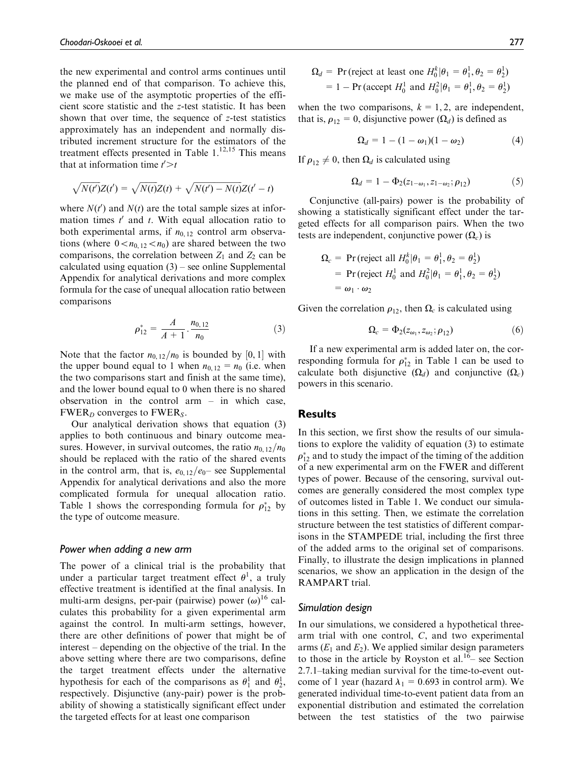the new experimental and control arms continues until the planned end of that comparison. To achieve this, we make use of the asymptotic properties of the efficient score statistic and the z-test statistic. It has been shown that over time, the sequence of z-test statistics approximately has an independent and normally distributed increment structure for the estimators of the treatment effects presented in Table  $1.^{12,15}$  This means that at information time  $t'$ 

$$
\sqrt{N(t^{\prime})}Z(t^{\prime}) = \sqrt{N(t)}Z(t) + \sqrt{N(t^{\prime}) - N(t)}Z(t^{\prime} - t)
$$

where  $N(t')$  and  $N(t)$  are the total sample sizes at information times  $t'$  and  $t$ . With equal allocation ratio to both experimental arms, if  $n_{0,12}$  control arm observations (where  $0) are shared between the two$ comparisons, the correlation between  $Z_1$  and  $Z_2$  can be calculated using equation  $(3)$  – see online Supplemental Appendix for analytical derivations and more complex formula for the case of unequal allocation ratio between comparisons

$$
\rho_{12}^* = \frac{A}{A+1} \cdot \frac{n_{0,12}}{n_0} \tag{3}
$$

Note that the factor  $n_{0,12}/n_0$  is bounded by [0, 1] with the upper bound equal to 1 when  $n_{0, 12} = n_0$  (i.e. when the two comparisons start and finish at the same time), and the lower bound equal to 0 when there is no shared observation in the control arm – in which case,  $FWER<sub>D</sub>$  converges to  $FWER<sub>S</sub>$ .

Our analytical derivation shows that equation (3) applies to both continuous and binary outcome measures. However, in survival outcomes, the ratio  $n_{0, 12}/n_0$ should be replaced with the ratio of the shared events in the control arm, that is,  $e_{0,12}/e_0$  see Supplemental Appendix for analytical derivations and also the more complicated formula for unequal allocation ratio. Table 1 shows the corresponding formula for  $\rho_{12}^*$  by the type of outcome measure.

#### Power when adding a new arm

The power of a clinical trial is the probability that under a particular target treatment effect  $\theta^1$ , a truly effective treatment is identified at the final analysis. In multi-arm designs, per-pair (pairwise) power  $(\omega)^{16}$  calculates this probability for a given experimental arm against the control. In multi-arm settings, however, there are other definitions of power that might be of interest – depending on the objective of the trial. In the above setting where there are two comparisons, define the target treatment effects under the alternative hypothesis for each of the comparisons as  $\theta_1^1$  and  $\theta_2^1$ , respectively. Disjunctive (any-pair) power is the probability of showing a statistically significant effect under the targeted effects for at least one comparison

$$
\Omega_d = \Pr(\text{reject at least one } H_0^k | \theta_1 = \theta_1^1, \theta_2 = \theta_2^1)
$$
  
= 1 - Pr(accept  $H_0^1$  and  $H_0^2 | \theta_1 = \theta_1^1, \theta_2 = \theta_2^1)$ 

when the two comparisons,  $k = 1, 2$ , are independent, that is,  $\rho_{12} = 0$ , disjunctive power  $(\Omega_d)$  is defined as

$$
\Omega_d = 1 - (1 - \omega_1)(1 - \omega_2) \tag{4}
$$

If  $\rho_{12} \neq 0$ , then  $\Omega_d$  is calculated using

$$
\Omega_d = 1 - \Phi_2(z_{1-\omega_1}, z_{1-\omega_2}; \rho_{12}) \tag{5}
$$

Conjunctive (all-pairs) power is the probability of showing a statistically significant effect under the targeted effects for all comparison pairs. When the two tests are independent, conjunctive power  $(\Omega_c)$  is

$$
\Omega_c = \text{Pr}\left(\text{reject all } H_0^k | \theta_1 = \theta_1^1, \theta_2 = \theta_2^1\right)
$$
  
= \Pr\left(\text{reject } H\_0^1 \text{ and } H\_0^2 | \theta\_1 = \theta\_1^1, \theta\_2 = \theta\_2^1\right)  
= \omega\_1 \cdot \omega\_2

Given the correlation  $\rho_{12}$ , then  $\Omega_c$  is calculated using

$$
\Omega_c = \Phi_2(z_{\omega_1}, z_{\omega_2}; \rho_{12}) \tag{6}
$$

If a new experimental arm is added later on, the corresponding formula for  $\rho_{12}^*$  in Table 1 can be used to calculate both disjunctive  $(\Omega_d)$  and conjunctive  $(\Omega_c)$ powers in this scenario.

#### **Results**

In this section, we first show the results of our simulations to explore the validity of equation (3) to estimate  $\rho_{12}^*$  and to study the impact of the timing of the addition of a new experimental arm on the FWER and different types of power. Because of the censoring, survival outcomes are generally considered the most complex type of outcomes listed in Table 1. We conduct our simulations in this setting. Then, we estimate the correlation structure between the test statistics of different comparisons in the STAMPEDE trial, including the first three of the added arms to the original set of comparisons. Finally, to illustrate the design implications in planned scenarios, we show an application in the design of the RAMPART trial.

#### Simulation design

In our simulations, we considered a hypothetical threearm trial with one control, C, and two experimental arms  $(E_1 \text{ and } E_2)$ . We applied similar design parameters to those in the article by Royston et al.<sup>16</sup> – see Section 2.7.1–taking median survival for the time-to-event outcome of 1 year (hazard  $\lambda_1 = 0.693$  in control arm). We generated individual time-to-event patient data from an exponential distribution and estimated the correlation between the test statistics of the two pairwise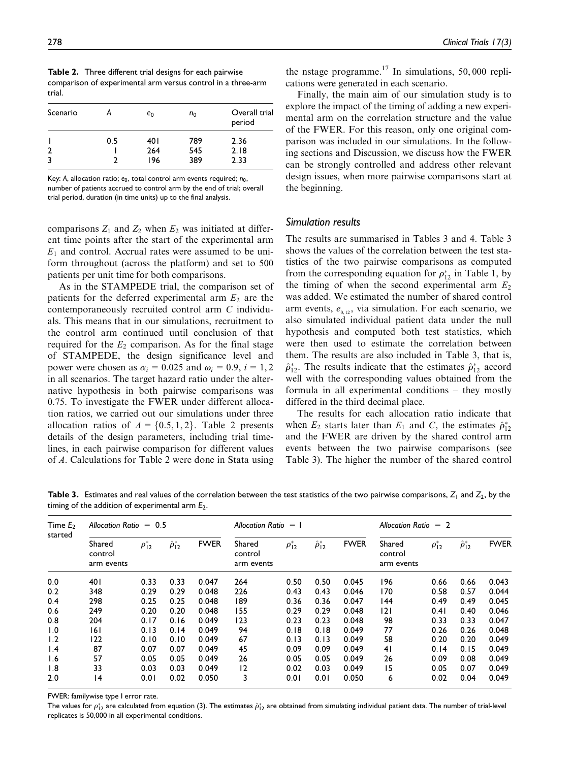Table 2. Three different trial designs for each pairwise comparison of experimental arm versus control in a three-arm trial.

| Scenario |     | $e_0$ | no  | Overall trial<br>period |
|----------|-----|-------|-----|-------------------------|
|          | 0.5 | 40 I  | 789 | 2.36                    |
| 2        |     | 264   | 545 | 2.18                    |
| 3        |     | 196   | 389 | 2.33                    |

Key: A, allocation ratio;  $e_0$ , total control arm events required;  $n_0$ , number of patients accrued to control arm by the end of trial; overall trial period, duration (in time units) up to the final analysis.

comparisons  $Z_1$  and  $Z_2$  when  $E_2$  was initiated at different time points after the start of the experimental arm  $E_1$  and control. Accrual rates were assumed to be uniform throughout (across the platform) and set to 500 patients per unit time for both comparisons.

As in the STAMPEDE trial, the comparison set of patients for the deferred experimental arm  $E<sub>2</sub>$  are the contemporaneously recruited control arm C individuals. This means that in our simulations, recruitment to the control arm continued until conclusion of that required for the  $E_2$  comparison. As for the final stage of STAMPEDE, the design significance level and power were chosen as  $\alpha_i = 0.025$  and  $\omega_i = 0.9$ ,  $i = 1, 2$ in all scenarios. The target hazard ratio under the alternative hypothesis in both pairwise comparisons was 0:75. To investigate the FWER under different allocation ratios, we carried out our simulations under three allocation ratios of  $A = \{0.5, 1, 2\}$ . Table 2 presents details of the design parameters, including trial timelines, in each pairwise comparison for different values of A. Calculations for Table 2 were done in Stata using the nstage programme.<sup>17</sup> In simulations, 50,000 replications were generated in each scenario.

Finally, the main aim of our simulation study is to explore the impact of the timing of adding a new experimental arm on the correlation structure and the value of the FWER. For this reason, only one original comparison was included in our simulations. In the following sections and Discussion, we discuss how the FWER can be strongly controlled and address other relevant design issues, when more pairwise comparisons start at the beginning.

#### Simulation results

The results are summarised in Tables 3 and 4. Table 3 shows the values of the correlation between the test statistics of the two pairwise comparisons as computed from the corresponding equation for  $\rho_{12}^*$  in Table 1, by the timing of when the second experimental arm  $E_2$ was added. We estimated the number of shared control arm events,  $e_{0,12}$ , via simulation. For each scenario, we also simulated individual patient data under the null hypothesis and computed both test statistics, which were then used to estimate the correlation between them. The results are also included in Table 3, that is,  $\hat{\rho}_{12}^*$ . The results indicate that the estimates  $\hat{\rho}_{12}^*$  accord well with the corresponding values obtained from the formula in all experimental conditions – they mostly differed in the third decimal place.

The results for each allocation ratio indicate that when  $E_2$  starts later than  $E_1$  and C, the estimates  $\hat{\rho}_{12}^*$ and the FWER are driven by the shared control arm events between the two pairwise comparisons (see Table 3). The higher the number of the shared control

**Table 3.** Estimates and real values of the correlation between the test statistics of the two pairwise comparisons,  $Z_1$  and  $Z_2$ , by the timing of the addition of experimental arm  $E_2$ .

| Time $E_2$<br>started | Allocation Ratio $=$ 0.5        |               |                     |             | Allocation Ratio $=$ 1          |               |                     |             | Allocation Ratio $= 2$          |               |                     |             |
|-----------------------|---------------------------------|---------------|---------------------|-------------|---------------------------------|---------------|---------------------|-------------|---------------------------------|---------------|---------------------|-------------|
|                       | Shared<br>control<br>arm events | $\rho_{12}^*$ | $\hat{\rho}_{12}^*$ | <b>FWER</b> | Shared<br>control<br>arm events | $\rho_{12}^*$ | $\hat{\rho}_{12}^*$ | <b>FWER</b> | Shared<br>control<br>arm events | $\rho_{12}^*$ | $\hat{\rho}_{12}^*$ | <b>FWER</b> |
| 0.0                   | 401                             | 0.33          | 0.33                | 0.047       | 264                             | 0.50          | 0.50                | 0.045       | 196                             | 0.66          | 0.66                | 0.043       |
| 0.2                   | 348                             | 0.29          | 0.29                | 0.048       | 226                             | 0.43          | 0.43                | 0.046       | 170                             | 0.58          | 0.57                | 0.044       |
| 0.4                   | 298                             | 0.25          | 0.25                | 0.048       | 189                             | 0.36          | 0.36                | 0.047       | 144                             | 0.49          | 0.49                | 0.045       |
| 0.6                   | 249                             | 0.20          | 0.20                | 0.048       | 155                             | 0.29          | 0.29                | 0.048       | 2                               | 0.41          | 0.40                | 0.046       |
| 0.8                   | 204                             | 0.17          | 0.16                | 0.049       | 123                             | 0.23          | 0.23                | 0.048       | 98                              | 0.33          | 0.33                | 0.047       |
| 1.0                   | 161                             | 0.13          | 0.14                | 0.049       | 94                              | 0.18          | 0.18                | 0.049       | 77                              | 0.26          | 0.26                | 0.048       |
| 1.2                   | 122                             | 0.10          | 0.10                | 0.049       | 67                              | 0.13          | 0.13                | 0.049       | 58                              | 0.20          | 0.20                | 0.049       |
| 1.4                   | 87                              | 0.07          | 0.07                | 0.049       | 45                              | 0.09          | 0.09                | 0.049       | 41                              | 0.14          | 0.15                | 0.049       |
| 1.6                   | 57                              | 0.05          | 0.05                | 0.049       | 26                              | 0.05          | 0.05                | 0.049       | 26                              | 0.09          | 0.08                | 0.049       |
| 1.8                   | 33                              | 0.03          | 0.03                | 0.049       | 2                               | 0.02          | 0.03                | 0.049       | 15                              | 0.05          | 0.07                | 0.049       |
| 2.0                   | 14                              | 0.01          | 0.02                | 0.050       | 3                               | 0.01          | 0.01                | 0.050       | 6                               | 0.02          | 0.04                | 0.049       |

FWER: familywise type I error rate.

The values for  $\rho_{12}^*$  are calculated from equation (3). The estimates  $\hat{\rho}_{12}^*$  are obtained from simulating individual patient data. The number of trial-level replicates is 50,000 in all experimental conditions.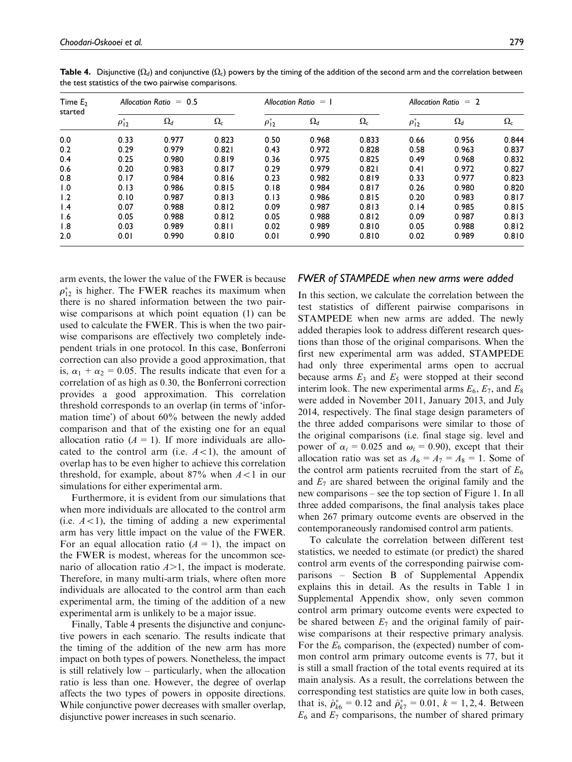| Time $E_2$<br>started | Allocation Ratio $=$ 0.5 |            |              | Allocation Ratio $= 1$ |            |              | Allocation Ratio $= 2$ |            |            |
|-----------------------|--------------------------|------------|--------------|------------------------|------------|--------------|------------------------|------------|------------|
|                       | $\rho_{12}^*$            | $\Omega_d$ | $\Omega_{c}$ | $\rho_{12}^*$          | $\Omega_d$ | $\Omega_{c}$ | $\rho_{12}^*$          | $\Omega_d$ | $\Omega_c$ |
| 0.0                   | 0.33                     | 0.977      | 0.823        | 0.50                   | 0.968      | 0.833        | 0.66                   | 0.956      | 0.844      |
| 0.2                   | 0.29                     | 0.979      | 0.821        | 0.43                   | 0.972      | 0.828        | 0.58                   | 0.963      | 0.837      |
| 0.4                   | 0.25                     | 0.980      | 0.819        | 0.36                   | 0.975      | 0.825        | 0.49                   | 0.968      | 0.832      |
| 0.6                   | 0.20                     | 0.983      | 0.817        | 0.29                   | 0.979      | 0.821        | 0.41                   | 0.972      | 0.827      |
| 0.8                   | 0.17                     | 0.984      | 0.816        | 0.23                   | 0.982      | 0.819        | 0.33                   | 0.977      | 0.823      |
| 1.0                   | 0.13                     | 0.986      | 0.815        | 0.18                   | 0.984      | 0.817        | 0.26                   | 0.980      | 0.820      |
| 1.2                   | 0.10                     | 0.987      | 0.813        | 0.13                   | 0.986      | 0.815        | 0.20                   | 0.983      | 0.817      |
| $\mathsf{I}$ .4       | 0.07                     | 0.988      | 0.812        | 0.09                   | 0.987      | 0.813        | 0.14                   | 0.985      | 0.815      |
| 1.6                   | 0.05                     | 0.988      | 0.812        | 0.05                   | 0.988      | 0.812        | 0.09                   | 0.987      | 0.813      |
| 1.8                   | 0.03                     | 0.989      | 0.811        | 0.02                   | 0.989      | 0.810        | 0.05                   | 0.988      | 0.812      |
| 2.0                   | 0.01                     | 0.990      | 0.810        | 0.01                   | 0.990      | 0.810        | 0.02                   | 0.989      | 0.810      |

**Table 4.** Disjunctive ( $\Omega_d$ ) and conjunctive ( $\Omega_c$ ) powers by the timing of the addition of the second arm and the correlation between the test statistics of the two pairwise comparisons.

arm events, the lower the value of the FWER is because  $\rho_{12}^*$  is higher. The FWER reaches its maximum when there is no shared information between the two pairwise comparisons at which point equation (1) can be used to calculate the FWER. This is when the two pairwise comparisons are effectively two completely independent trials in one protocol. In this case, Bonferroni correction can also provide a good approximation, that is,  $\alpha_1 + \alpha_2 = 0.05$ . The results indicate that even for a correlation of as high as 0:30, the Bonferroni correction provides a good approximation. This correlation threshold corresponds to an overlap (in terms of 'information time') of about 60% between the newly added comparison and that of the existing one for an equal allocation ratio  $(A = 1)$ . If more individuals are allocated to the control arm (i.e.  $A\lt 1$ ), the amount of overlap has to be even higher to achieve this correlation threshold, for example, about 87% when  $A\leq 1$  in our simulations for either experimental arm.

Furthermore, it is evident from our simulations that when more individuals are allocated to the control arm (i.e.  $A \leq 1$ ), the timing of adding a new experimental arm has very little impact on the value of the FWER. For an equal allocation ratio  $(A = 1)$ , the impact on the FWER is modest, whereas for the uncommon scenario of allocation ratio  $A > 1$ , the impact is moderate. Therefore, in many multi-arm trials, where often more individuals are allocated to the control arm than each experimental arm, the timing of the addition of a new experimental arm is unlikely to be a major issue.

Finally, Table 4 presents the disjunctive and conjunctive powers in each scenario. The results indicate that the timing of the addition of the new arm has more impact on both types of powers. Nonetheless, the impact is still relatively low – particularly, when the allocation ratio is less than one. However, the degree of overlap affects the two types of powers in opposite directions. While conjunctive power decreases with smaller overlap, disjunctive power increases in such scenario.

#### FWER of STAMPEDE when new arms were added

In this section, we calculate the correlation between the test statistics of different pairwise comparisons in STAMPEDE when new arms are added. The newly added therapies look to address different research questions than those of the original comparisons. When the first new experimental arm was added, STAMPEDE had only three experimental arms open to accrual because arms  $E_3$  and  $E_5$  were stopped at their second interim look. The new experimental arms  $E_6$ ,  $E_7$ , and  $E_8$ were added in November 2011, January 2013, and July 2014, respectively. The final stage design parameters of the three added comparisons were similar to those of the original comparisons (i.e. final stage sig. level and power of  $\alpha_i = 0.025$  and  $\omega_i = 0.90$ ), except that their allocation ratio was set as  $A_6 = A_7 = A_8 = 1$ . Some of the control arm patients recruited from the start of  $E_6$ and  $E_7$  are shared between the original family and the new comparisons – see the top section of Figure 1. In all three added comparisons, the final analysis takes place when 267 primary outcome events are observed in the contemporaneously randomised control arm patients.

To calculate the correlation between different test statistics, we needed to estimate (or predict) the shared control arm events of the corresponding pairwise comparisons – Section B of Supplemental Appendix explains this in detail. As the results in Table 1 in Supplemental Appendix show, only seven common control arm primary outcome events were expected to be shared between  $E_7$  and the original family of pairwise comparisons at their respective primary analysis. For the  $E_6$  comparison, the (expected) number of common control arm primary outcome events is 77, but it is still a small fraction of the total events required at its main analysis. As a result, the correlations between the corresponding test statistics are quite low in both cases, that is,  $\hat{\rho}_{k6}^* = 0.12$  and  $\hat{\rho}_{k7}^* = 0.01$ ,  $k = 1, 2, 4$ . Between  $E_6$  and  $E_7$  comparisons, the number of shared primary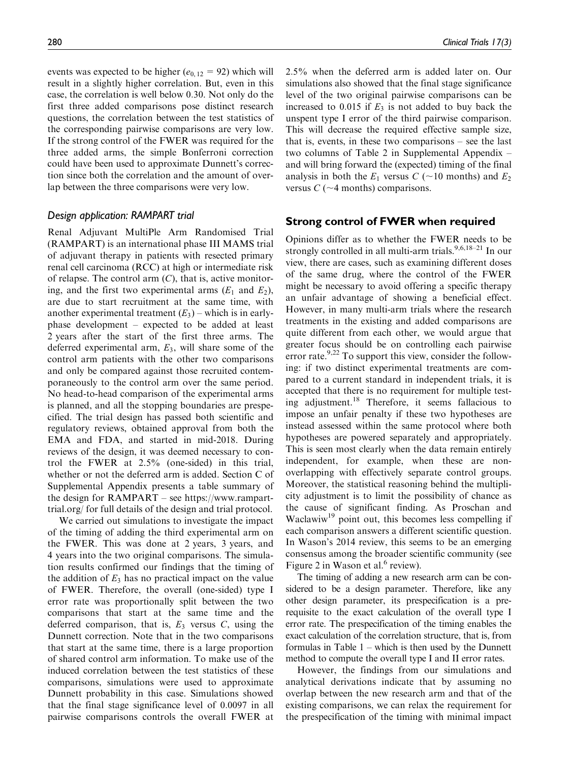events was expected to be higher ( $e_{0,12} = 92$ ) which will result in a slightly higher correlation. But, even in this case, the correlation is well below 0:30. Not only do the first three added comparisons pose distinct research questions, the correlation between the test statistics of the corresponding pairwise comparisons are very low. If the strong control of the FWER was required for the three added arms, the simple Bonferroni correction could have been used to approximate Dunnett's correction since both the correlation and the amount of overlap between the three comparisons were very low.

#### Design application: RAMPART trial

Renal Adjuvant MultiPle Arm Randomised Trial (RAMPART) is an international phase III MAMS trial of adjuvant therapy in patients with resected primary renal cell carcinoma (RCC) at high or intermediate risk of relapse. The control arm  $(C)$ , that is, active monitoring, and the first two experimental arms  $(E_1$  and  $E_2$ ), are due to start recruitment at the same time, with another experimental treatment  $(E_3)$  – which is in earlyphase development – expected to be added at least 2 years after the start of the first three arms. The deferred experimental arm,  $E_3$ , will share some of the control arm patients with the other two comparisons and only be compared against those recruited contemporaneously to the control arm over the same period. No head-to-head comparison of the experimental arms is planned, and all the stopping boundaries are prespecified. The trial design has passed both scientific and regulatory reviews, obtained approval from both the EMA and FDA, and started in mid-2018. During reviews of the design, it was deemed necessary to control the FWER at 2.5% (one-sided) in this trial, whether or not the deferred arm is added. Section C of Supplemental Appendix presents a table summary of the design for RAMPART – see [https://www.rampart](https://www.rampart-trial.org/)[trial.org/](https://www.rampart-trial.org/) for full details of the design and trial protocol.

We carried out simulations to investigate the impact of the timing of adding the third experimental arm on the FWER. This was done at 2 years, 3 years, and 4 years into the two original comparisons. The simulation results confirmed our findings that the timing of the addition of  $E_3$  has no practical impact on the value of FWER. Therefore, the overall (one-sided) type I error rate was proportionally split between the two comparisons that start at the same time and the deferred comparison, that is,  $E_3$  versus C, using the Dunnett correction. Note that in the two comparisons that start at the same time, there is a large proportion of shared control arm information. To make use of the induced correlation between the test statistics of these comparisons, simulations were used to approximate Dunnett probability in this case. Simulations showed that the final stage significance level of 0:0097 in all pairwise comparisons controls the overall FWER at 2:5% when the deferred arm is added later on. Our simulations also showed that the final stage significance level of the two original pairwise comparisons can be increased to 0.015 if  $E_3$  is not added to buy back the unspent type I error of the third pairwise comparison. This will decrease the required effective sample size, that is, events, in these two comparisons – see the last two columns of Table 2 in Supplemental Appendix – and will bring forward the (expected) timing of the final analysis in both the  $E_1$  versus C (~10 months) and  $E_2$ versus  $C$  ( $\sim$ 4 months) comparisons.

#### Strong control of FWER when required

Opinions differ as to whether the FWER needs to be strongly controlled in all multi-arm trials.<sup>9,6,18-21</sup> In our view, there are cases, such as examining different doses of the same drug, where the control of the FWER might be necessary to avoid offering a specific therapy an unfair advantage of showing a beneficial effect. However, in many multi-arm trials where the research treatments in the existing and added comparisons are quite different from each other, we would argue that greater focus should be on controlling each pairwise error rate. $9,22$  To support this view, consider the following: if two distinct experimental treatments are compared to a current standard in independent trials, it is accepted that there is no requirement for multiple testing adjustment.18 Therefore, it seems fallacious to impose an unfair penalty if these two hypotheses are instead assessed within the same protocol where both hypotheses are powered separately and appropriately. This is seen most clearly when the data remain entirely independent, for example, when these are nonoverlapping with effectively separate control groups. Moreover, the statistical reasoning behind the multiplicity adjustment is to limit the possibility of chance as the cause of significant finding. As Proschan and Waclawiw<sup>19</sup> point out, this becomes less compelling if each comparison answers a different scientific question. In Wason's 2014 review, this seems to be an emerging consensus among the broader scientific community (see Figure 2 in Wason et al. $<sup>6</sup>$  review).</sup>

The timing of adding a new research arm can be considered to be a design parameter. Therefore, like any other design parameter, its prespecification is a prerequisite to the exact calculation of the overall type I error rate. The prespecification of the timing enables the exact calculation of the correlation structure, that is, from formulas in Table  $1$  – which is then used by the Dunnett method to compute the overall type I and II error rates.

However, the findings from our simulations and analytical derivations indicate that by assuming no overlap between the new research arm and that of the existing comparisons, we can relax the requirement for the prespecification of the timing with minimal impact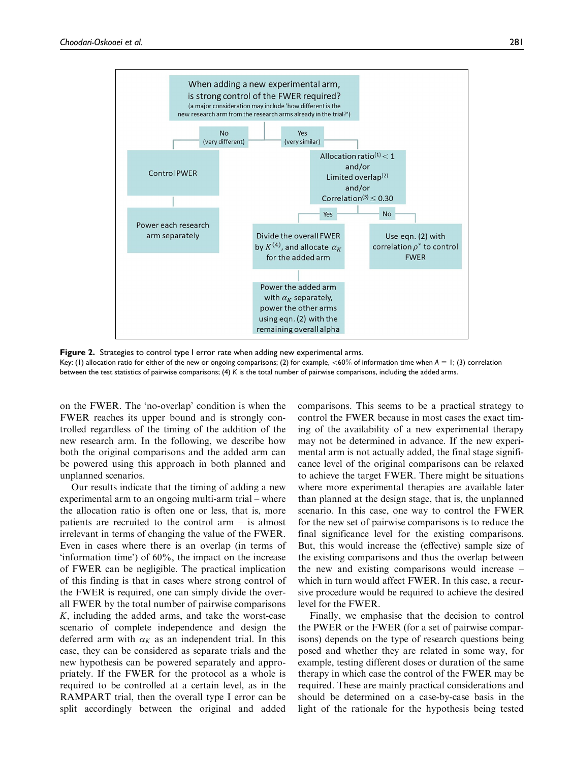

Figure 2. Strategies to control type I error rate when adding new experimental arms. Key: (1) allocation ratio for either of the new or ongoing comparisons; (2) for example,  $< 60\%$  of information time when A = 1; (3) correlation between the test statistics of pairwise comparisons; (4) K is the total number of pairwise comparisons, including the added arms.

on the FWER. The 'no-overlap' condition is when the FWER reaches its upper bound and is strongly controlled regardless of the timing of the addition of the new research arm. In the following, we describe how both the original comparisons and the added arm can be powered using this approach in both planned and unplanned scenarios.

Our results indicate that the timing of adding a new experimental arm to an ongoing multi-arm trial – where the allocation ratio is often one or less, that is, more patients are recruited to the control arm – is almost irrelevant in terms of changing the value of the FWER. Even in cases where there is an overlap (in terms of 'information time') of 60%, the impact on the increase of FWER can be negligible. The practical implication of this finding is that in cases where strong control of the FWER is required, one can simply divide the overall FWER by the total number of pairwise comparisons K, including the added arms, and take the worst-case scenario of complete independence and design the deferred arm with  $\alpha_K$  as an independent trial. In this case, they can be considered as separate trials and the new hypothesis can be powered separately and appropriately. If the FWER for the protocol as a whole is required to be controlled at a certain level, as in the RAMPART trial, then the overall type I error can be split accordingly between the original and added comparisons. This seems to be a practical strategy to control the FWER because in most cases the exact timing of the availability of a new experimental therapy may not be determined in advance. If the new experimental arm is not actually added, the final stage significance level of the original comparisons can be relaxed to achieve the target FWER. There might be situations where more experimental therapies are available later than planned at the design stage, that is, the unplanned scenario. In this case, one way to control the FWER for the new set of pairwise comparisons is to reduce the final significance level for the existing comparisons. But, this would increase the (effective) sample size of the existing comparisons and thus the overlap between the new and existing comparisons would increase – which in turn would affect FWER. In this case, a recursive procedure would be required to achieve the desired level for the FWER.

Finally, we emphasise that the decision to control the PWER or the FWER (for a set of pairwise comparisons) depends on the type of research questions being posed and whether they are related in some way, for example, testing different doses or duration of the same therapy in which case the control of the FWER may be required. These are mainly practical considerations and should be determined on a case-by-case basis in the light of the rationale for the hypothesis being tested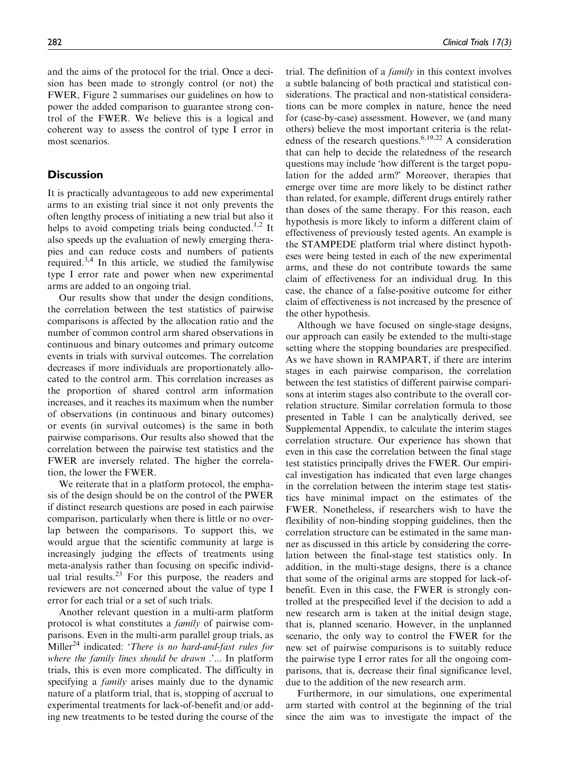and the aims of the protocol for the trial. Once a decision has been made to strongly control (or not) the FWER, Figure 2 summarises our guidelines on how to power the added comparison to guarantee strong control of the FWER. We believe this is a logical and coherent way to assess the control of type I error in most scenarios.

#### **Discussion**

It is practically advantageous to add new experimental arms to an existing trial since it not only prevents the often lengthy process of initiating a new trial but also it helps to avoid competing trials being conducted.<sup>1,2</sup> It also speeds up the evaluation of newly emerging therapies and can reduce costs and numbers of patients required.3,4 In this article, we studied the familywise type I error rate and power when new experimental arms are added to an ongoing trial.

Our results show that under the design conditions, the correlation between the test statistics of pairwise comparisons is affected by the allocation ratio and the number of common control arm shared observations in continuous and binary outcomes and primary outcome events in trials with survival outcomes. The correlation decreases if more individuals are proportionately allocated to the control arm. This correlation increases as the proportion of shared control arm information increases, and it reaches its maximum when the number of observations (in continuous and binary outcomes) or events (in survival outcomes) is the same in both pairwise comparisons. Our results also showed that the correlation between the pairwise test statistics and the FWER are inversely related. The higher the correlation, the lower the FWER.

We reiterate that in a platform protocol, the emphasis of the design should be on the control of the PWER if distinct research questions are posed in each pairwise comparison, particularly when there is little or no overlap between the comparisons. To support this, we would argue that the scientific community at large is increasingly judging the effects of treatments using meta-analysis rather than focusing on specific individual trial results.23 For this purpose, the readers and reviewers are not concerned about the value of type I error for each trial or a set of such trials.

Another relevant question in a multi-arm platform protocol is what constitutes a family of pairwise comparisons. Even in the multi-arm parallel group trials, as Miller<sup>24</sup> indicated: 'There is no hard-and-fast rules for where the family lines should be drawn .'... In platform trials, this is even more complicated. The difficulty in specifying a *family* arises mainly due to the dynamic nature of a platform trial, that is, stopping of accrual to experimental treatments for lack-of-benefit and/or adding new treatments to be tested during the course of the trial. The definition of a family in this context involves a subtle balancing of both practical and statistical considerations. The practical and non-statistical considerations can be more complex in nature, hence the need for (case-by-case) assessment. However, we (and many others) believe the most important criteria is the relatedness of the research questions.<sup>6,19,22</sup> A consideration that can help to decide the relatedness of the research questions may include 'how different is the target population for the added arm?' Moreover, therapies that emerge over time are more likely to be distinct rather than related, for example, different drugs entirely rather than doses of the same therapy. For this reason, each hypothesis is more likely to inform a different claim of effectiveness of previously tested agents. An example is the STAMPEDE platform trial where distinct hypotheses were being tested in each of the new experimental arms, and these do not contribute towards the same claim of effectiveness for an individual drug. In this case, the chance of a false-positive outcome for either claim of effectiveness is not increased by the presence of the other hypothesis.

Although we have focused on single-stage designs, our approach can easily be extended to the multi-stage setting where the stopping boundaries are prespecified. As we have shown in RAMPART, if there are interim stages in each pairwise comparison, the correlation between the test statistics of different pairwise comparisons at interim stages also contribute to the overall correlation structure. Similar correlation formula to those presented in Table 1 can be analytically derived, see Supplemental Appendix, to calculate the interim stages correlation structure. Our experience has shown that even in this case the correlation between the final stage test statistics principally drives the FWER. Our empirical investigation has indicated that even large changes in the correlation between the interim stage test statistics have minimal impact on the estimates of the FWER. Nonetheless, if researchers wish to have the flexibility of non-binding stopping guidelines, then the correlation structure can be estimated in the same manner as discussed in this article by considering the correlation between the final-stage test statistics only. In addition, in the multi-stage designs, there is a chance that some of the original arms are stopped for lack-ofbenefit. Even in this case, the FWER is strongly controlled at the prespecified level if the decision to add a new research arm is taken at the initial design stage, that is, planned scenario. However, in the unplanned scenario, the only way to control the FWER for the new set of pairwise comparisons is to suitably reduce the pairwise type I error rates for all the ongoing comparisons, that is, decrease their final significance level, due to the addition of the new research arm.

Furthermore, in our simulations, one experimental arm started with control at the beginning of the trial since the aim was to investigate the impact of the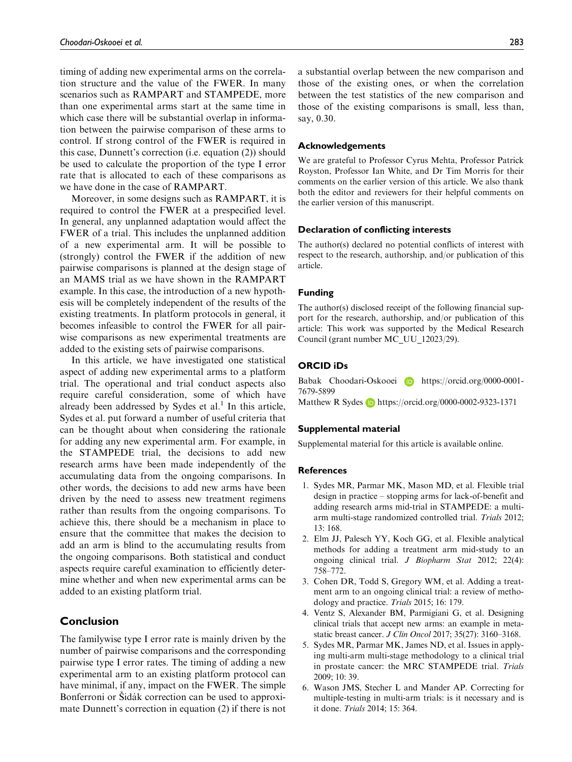timing of adding new experimental arms on the correlation structure and the value of the FWER. In many scenarios such as RAMPART and STAMPEDE, more than one experimental arms start at the same time in which case there will be substantial overlap in information between the pairwise comparison of these arms to control. If strong control of the FWER is required in this case, Dunnett's correction (i.e. equation (2)) should be used to calculate the proportion of the type I error rate that is allocated to each of these comparisons as we have done in the case of RAMPART.

Moreover, in some designs such as RAMPART, it is required to control the FWER at a prespecified level. In general, any unplanned adaptation would affect the FWER of a trial. This includes the unplanned addition of a new experimental arm. It will be possible to (strongly) control the FWER if the addition of new pairwise comparisons is planned at the design stage of an MAMS trial as we have shown in the RAMPART example. In this case, the introduction of a new hypothesis will be completely independent of the results of the existing treatments. In platform protocols in general, it becomes infeasible to control the FWER for all pairwise comparisons as new experimental treatments are added to the existing sets of pairwise comparisons.

In this article, we have investigated one statistical aspect of adding new experimental arms to a platform trial. The operational and trial conduct aspects also require careful consideration, some of which have already been addressed by Sydes et  $al.1$ <sup>1</sup> In this article, Sydes et al. put forward a number of useful criteria that can be thought about when considering the rationale for adding any new experimental arm. For example, in the STAMPEDE trial, the decisions to add new research arms have been made independently of the accumulating data from the ongoing comparisons. In other words, the decisions to add new arms have been driven by the need to assess new treatment regimens rather than results from the ongoing comparisons. To achieve this, there should be a mechanism in place to ensure that the committee that makes the decision to add an arm is blind to the accumulating results from the ongoing comparisons. Both statistical and conduct aspects require careful examination to efficiently determine whether and when new experimental arms can be added to an existing platform trial.

## Conclusion

The familywise type I error rate is mainly driven by the number of pairwise comparisons and the corresponding pairwise type I error rates. The timing of adding a new experimental arm to an existing platform protocol can have minimal, if any, impact on the FWER. The simple Bonferroni or Sidák correction can be used to approximate Dunnett's correction in equation (2) if there is not a substantial overlap between the new comparison and those of the existing ones, or when the correlation between the test statistics of the new comparison and those of the existing comparisons is small, less than, say, 0:30.

#### Acknowledgements

We are grateful to Professor Cyrus Mehta, Professor Patrick Royston, Professor Ian White, and Dr Tim Morris for their comments on the earlier version of this article. We also thank both the editor and reviewers for their helpful comments on the earlier version of this manuscript.

#### Declaration of conflicting interests

The author(s) declared no potential conflicts of interest with respect to the research, authorship, and/or publication of this article.

#### Funding

The author(s) disclosed receipt of the following financial support for the research, authorship, and/or publication of this article: This work was supported by the Medical Research Council (grant number MC\_UU\_12023/29).

#### ORCID iDs

Babak Choodari-Oskooei **b** [https://orcid.org/0000-0001-](https://orcid.org/0000-0001-7679-5899) [7679-5899](https://orcid.org/0000-0001-7679-5899)

Matthew R Sydes **b** <https://orcid.org/0000-0002-9323-1371>

#### Supplemental material

Supplemental material for this article is available online.

#### References

- 1. Sydes MR, Parmar MK, Mason MD, et al. Flexible trial design in practice – stopping arms for lack-of-benefit and adding research arms mid-trial in STAMPEDE: a multiarm multi-stage randomized controlled trial. Trials 2012;  $13 \cdot 168$
- 2. Elm JJ, Palesch YY, Koch GG, et al. Flexible analytical methods for adding a treatment arm mid-study to an ongoing clinical trial. J Biopharm Stat 2012; 22(4): 758–772.
- 3. Cohen DR, Todd S, Gregory WM, et al. Adding a treatment arm to an ongoing clinical trial: a review of methodology and practice. Trials 2015; 16: 179.
- 4. Ventz S, Alexander BM, Parmigiani G, et al. Designing clinical trials that accept new arms: an example in metastatic breast cancer. J Clin Oncol 2017; 35(27): 3160–3168.
- 5. Sydes MR, Parmar MK, James ND, et al. Issues in applying multi-arm multi-stage methodology to a clinical trial in prostate cancer: the MRC STAMPEDE trial. Trials 2009; 10: 39.
- 6. Wason JMS, Stecher L and Mander AP. Correcting for multiple-testing in multi-arm trials: is it necessary and is it done. Trials 2014; 15: 364.